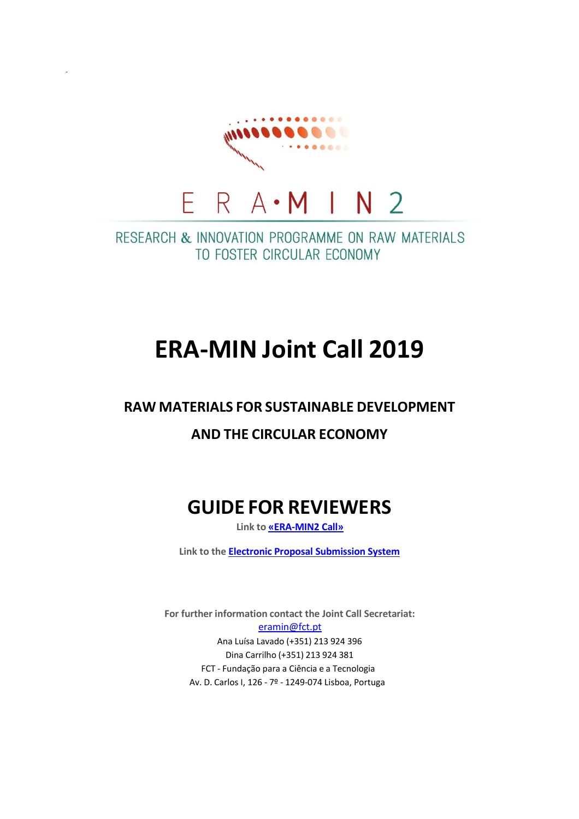

/\*

RESEARCH & INNOVATION PROGRAMME ON RAW MATERIALS TO FOSTER CIRCULAR ECONOMY

# **ERA-MIN Joint Call 2019**

### **RAW MATERIALS FOR SUSTAINABLE DEVELOPMENT**

## **AND THE CIRCULAR ECONOMY**

# **GUIDE FOR REVIEWERS**

**Link to [«ERA-MIN2](https://www.era-min.eu/joint-call/era-min-joint-call-2019) Call»**

**Link to the Electronic Proposal [Submission](https://www.submission-era-min.eu/call3/evaluator-login) System**

**For further information contact the Joint Call Secretariat:** [eramin@fct.pt](mailto:eramin@fct.pt) Ana Luísa Lavado (+351) 213 924 396 Dina Carrilho (+351) 213 924 381 FCT - Fundação para a Ciência e a Tecnologia Av. D. Carlos I, 126 - 7º - 1249-074 Lisboa, Portuga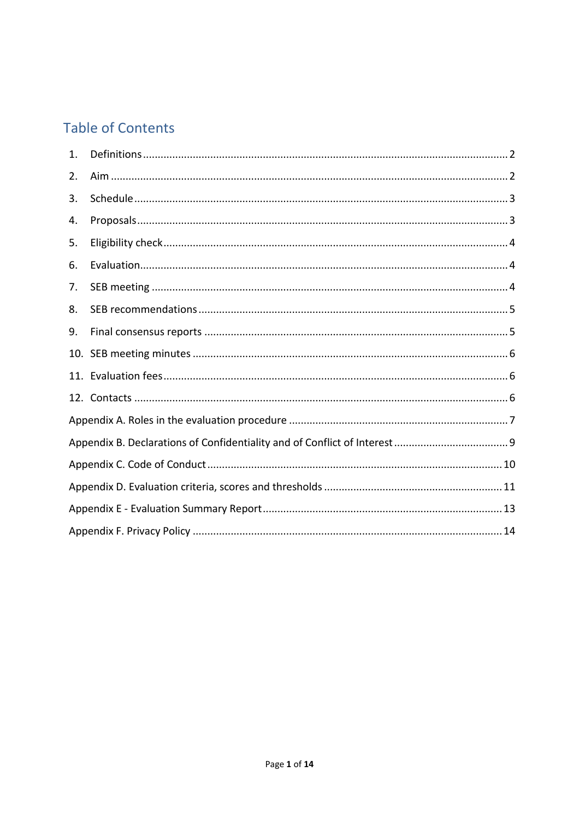# **Table of Contents**

| 1.  |  |  |
|-----|--|--|
| 2.  |  |  |
| 3.  |  |  |
| 4.  |  |  |
| 5.  |  |  |
| 6.  |  |  |
| 7.  |  |  |
| 8.  |  |  |
| 9.  |  |  |
| 10. |  |  |
|     |  |  |
|     |  |  |
|     |  |  |
|     |  |  |
|     |  |  |
|     |  |  |
|     |  |  |
|     |  |  |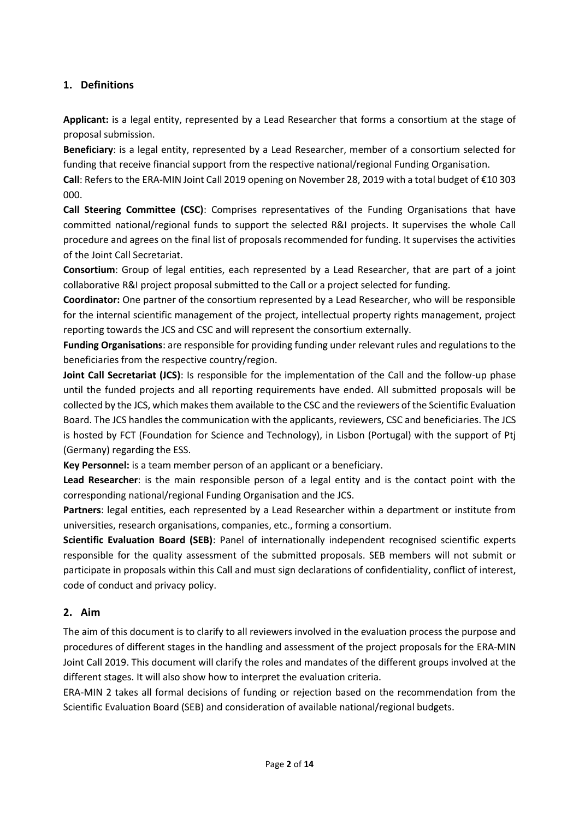#### <span id="page-2-0"></span>**1. Definitions**

**Applicant:** is a legal entity, represented by a Lead Researcher that forms a consortium at the stage of proposal submission.

**Beneficiary**: is a legal entity, represented by a Lead Researcher, member of a consortium selected for funding that receive financial support from the respective national/regional Funding Organisation.

**Call**: Refers to the ERA-MIN Joint Call 2019 opening on November 28, 2019 with a total budget of €10 303 000.

**Call Steering Committee (CSC)**: Comprises representatives of the Funding Organisations that have committed national/regional funds to support the selected R&I projects. It supervises the whole Call procedure and agrees on the final list of proposals recommended for funding. It supervises the activities of the Joint Call Secretariat.

**Consortium**: Group of legal entities, each represented by a Lead Researcher, that are part of a joint collaborative R&I project proposal submitted to the Call or a project selected for funding.

**Coordinator:** One partner of the consortium represented by a Lead Researcher, who will be responsible for the internal scientific management of the project, intellectual property rights management, project reporting towards the JCS and CSC and will represent the consortium externally.

**Funding Organisations**: are responsible for providing funding under relevant rules and regulations to the beneficiaries from the respective country/region.

**Joint Call Secretariat (JCS)**: Is responsible for the implementation of the Call and the follow-up phase until the funded projects and all reporting requirements have ended. All submitted proposals will be collected by the JCS, which makes them available to the CSC and the reviewers of the Scientific Evaluation Board. The JCS handles the communication with the applicants, reviewers, CSC and beneficiaries. The JCS is hosted by FCT (Foundation for Science and Technology), in Lisbon (Portugal) with the support of Ptj (Germany) regarding the ESS.

**Key Personnel:** is a team member person of an applicant or a beneficiary.

**Lead Researcher**: is the main responsible person of a legal entity and is the contact point with the corresponding national/regional Funding Organisation and the JCS.

**Partners**: legal entities, each represented by a Lead Researcher within a department or institute from universities, research organisations, companies, etc., forming a consortium.

**Scientific Evaluation Board (SEB)**: Panel of internationally independent recognised scientific experts responsible for the quality assessment of the submitted proposals. SEB members will not submit or participate in proposals within this Call and must sign declarations of confidentiality, conflict of interest, code of conduct and privacy policy.

#### <span id="page-2-1"></span>**2. Aim**

The aim of this document is to clarify to all reviewers involved in the evaluation process the purpose and procedures of different stages in the handling and assessment of the project proposals for the ERA-MIN Joint Call 2019. This document will clarify the roles and mandates of the different groups involved at the different stages. It will also show how to interpret the evaluation criteria.

ERA-MIN 2 takes all formal decisions of funding or rejection based on the recommendation from the Scientific Evaluation Board (SEB) and consideration of available national/regional budgets.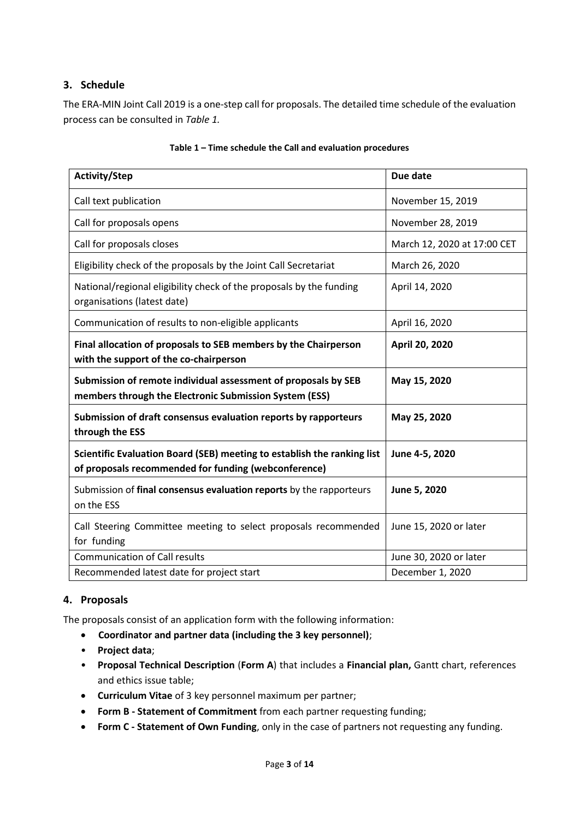#### <span id="page-3-0"></span>**3. Schedule**

The ERA-MIN Joint Call 2019 is a one-step call for proposals. The detailed time schedule of the evaluation process can be consulted in *Table 1.*

| <b>Activity/Step</b>                                                                                                            | Due date                    |
|---------------------------------------------------------------------------------------------------------------------------------|-----------------------------|
| Call text publication                                                                                                           | November 15, 2019           |
| Call for proposals opens                                                                                                        | November 28, 2019           |
| Call for proposals closes                                                                                                       | March 12, 2020 at 17:00 CET |
| Eligibility check of the proposals by the Joint Call Secretariat                                                                | March 26, 2020              |
| National/regional eligibility check of the proposals by the funding<br>organisations (latest date)                              | April 14, 2020              |
| Communication of results to non-eligible applicants                                                                             | April 16, 2020              |
| Final allocation of proposals to SEB members by the Chairperson<br>with the support of the co-chairperson                       | April 20, 2020              |
| Submission of remote individual assessment of proposals by SEB<br>members through the Electronic Submission System (ESS)        | May 15, 2020                |
| Submission of draft consensus evaluation reports by rapporteurs<br>through the ESS                                              | May 25, 2020                |
| Scientific Evaluation Board (SEB) meeting to establish the ranking list<br>of proposals recommended for funding (webconference) | June 4-5, 2020              |
| Submission of final consensus evaluation reports by the rapporteurs<br>on the ESS                                               | June 5, 2020                |
| Call Steering Committee meeting to select proposals recommended<br>for funding                                                  | June 15, 2020 or later      |
| <b>Communication of Call results</b>                                                                                            | June 30, 2020 or later      |
| Recommended latest date for project start                                                                                       | December 1, 2020            |

#### **Table 1 – Time schedule the Call and evaluation procedures**

#### <span id="page-3-1"></span>**4. Proposals**

The proposals consist of an application form with the following information:

- **Coordinator and partner data (including the 3 key personnel)**;
- **Project data**;
- **Proposal Technical Description** (**Form A**) that includes a **Financial plan,** Gantt chart, references and ethics issue table;
- **Curriculum Vitae** of 3 key personnel maximum per partner;
- **Form B - Statement of Commitment** from each partner requesting funding;
- **Form C - Statement of Own Funding**, only in the case of partners not requesting any funding.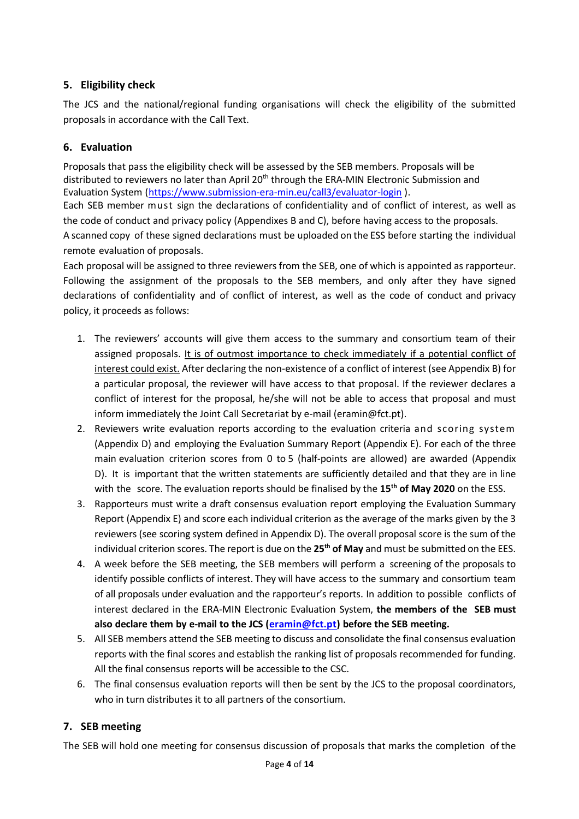#### <span id="page-4-0"></span>**5. Eligibility check**

The JCS and the national/regional funding organisations will check the eligibility of the submitted proposals in accordance with the Call Text.

#### <span id="page-4-1"></span>**6. Evaluation**

Proposals that pass the eligibility check will be assessed by the SEB members. Proposals will be distributed to reviewers no later than April 20<sup>th</sup> through the ERA-MIN Electronic Submission and Evaluation System [\(https://www.submission-era-min.eu/call3/evaluator-login](https://www.submission-era-min.eu/call3/evaluator-login) ).

Each SEB member must sign the declarations of confidentiality and of conflict of interest, as well as the code of conduct and privacy policy (Appendixes B and C), before having access to the proposals. A scanned copy of these signed declarations must be uploaded on the ESS before starting the individual remote evaluation of proposals.

Each proposal will be assigned to three reviewers from the SEB, one of which is appointed as rapporteur. Following the assignment of the proposals to the SEB members, and only after they have signed declarations of confidentiality and of conflict of interest, as well as the code of conduct and privacy policy, it proceeds as follows:

- 1. The reviewers' accounts will give them access to the summary and consortium team of their assigned proposals. It is of outmost importance to check immediately if a potential conflict of interest could exist. After declaring the non-existence of a conflict of interest (see Appendix B) for a particular proposal, the reviewer will have access to that proposal. If the reviewer declares a conflict of interest for the proposal, he/she will not be able to access that proposal and must inform immediately the Joint Call Secretariat by e-mail (eramin@fct.pt).
- 2. Reviewers write evaluation reports according to the evaluation criteria and scoring system (Appendix D) and employing the Evaluation Summary Report (Appendix E). For each of the three main evaluation criterion scores from 0 to 5 (half-points are allowed) are awarded (Appendix D). It is important that the written statements are sufficiently detailed and that they are in line with the score. The evaluation reports should be finalised by the **15th of May 2020** on the ESS.
- 3. Rapporteurs must write a draft consensus evaluation report employing the Evaluation Summary Report (Appendix E) and score each individual criterion as the average of the marks given by the 3 reviewers (see scoring system defined in Appendix D). The overall proposal score is the sum of the individual criterion scores. The report is due on the **25 th of May** and must be submitted on the EES.
- 4. A week before the SEB meeting, the SEB members will perform a screening of the proposals to identify possible conflicts of interest. They will have access to the summary and consortium team of all proposals under evaluation and the rapporteur's reports. In addition to possible conflicts of interest declared in the ERA-MIN Electronic Evaluation System, **the members of the SEB must also declare them by e-mail to the JCS [\(eramin@fct.pt\)](mailto:eramin@fct.pt) before the SEB meeting.**
- 5. All SEB members attend the SEB meeting to discuss and consolidate the final consensus evaluation reports with the final scores and establish the ranking list of proposals recommended for funding. All the final consensus reports will be accessible to the CSC.
- 6. The final consensus evaluation reports will then be sent by the JCS to the proposal coordinators, who in turn distributes it to all partners of the consortium.

#### <span id="page-4-2"></span>**7. SEB meeting**

The SEB will hold one meeting for consensus discussion of proposals that marks the completion of the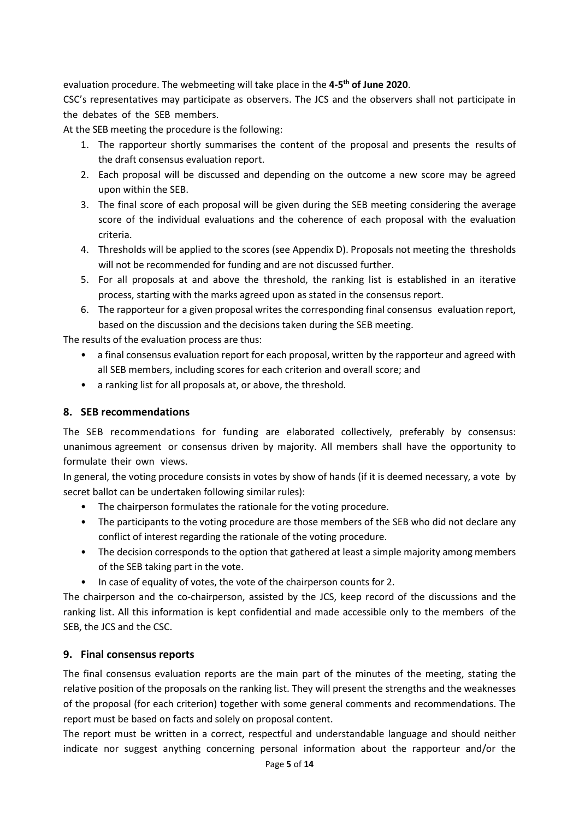evaluation procedure. The webmeeting will take place in the **4-5 th of June 2020**.

CSC's representatives may participate as observers. The JCS and the observers shall not participate in the debates of the SEB members.

At the SEB meeting the procedure is the following:

- 1. The rapporteur shortly summarises the content of the proposal and presents the results of the draft consensus evaluation report.
- 2. Each proposal will be discussed and depending on the outcome a new score may be agreed upon within the SEB.
- 3. The final score of each proposal will be given during the SEB meeting considering the average score of the individual evaluations and the coherence of each proposal with the evaluation criteria.
- 4. Thresholds will be applied to the scores (see Appendix D). Proposals not meeting the thresholds will not be recommended for funding and are not discussed further.
- 5. For all proposals at and above the threshold, the ranking list is established in an iterative process, starting with the marks agreed upon as stated in the consensus report.
- 6. The rapporteur for a given proposal writes the corresponding final consensus evaluation report, based on the discussion and the decisions taken during the SEB meeting.

The results of the evaluation process are thus:

- a final consensus evaluation report for each proposal, written by the rapporteur and agreed with all SEB members, including scores for each criterion and overall score; and
- a ranking list for all proposals at, or above, the threshold.

#### <span id="page-5-0"></span>**8. SEB recommendations**

The SEB recommendations for funding are elaborated collectively, preferably by consensus: unanimous agreement or consensus driven by majority. All members shall have the opportunity to formulate their own views.

In general, the voting procedure consists in votes by show of hands (if it is deemed necessary, a vote by secret ballot can be undertaken following similar rules):

- The chairperson formulates the rationale for the voting procedure.
- The participants to the voting procedure are those members of the SEB who did not declare any conflict of interest regarding the rationale of the voting procedure.
- The decision corresponds to the option that gathered at least a simple majority among members of the SEB taking part in the vote.
- In case of equality of votes, the vote of the chairperson counts for 2.

The chairperson and the co-chairperson, assisted by the JCS, keep record of the discussions and the ranking list. All this information is kept confidential and made accessible only to the members of the SEB, the JCS and the CSC.

#### <span id="page-5-1"></span>**9. Final consensus reports**

The final consensus evaluation reports are the main part of the minutes of the meeting, stating the relative position of the proposals on the ranking list. They will present the strengths and the weaknesses of the proposal (for each criterion) together with some general comments and recommendations. The report must be based on facts and solely on proposal content.

The report must be written in a correct, respectful and understandable language and should neither indicate nor suggest anything concerning personal information about the rapporteur and/or the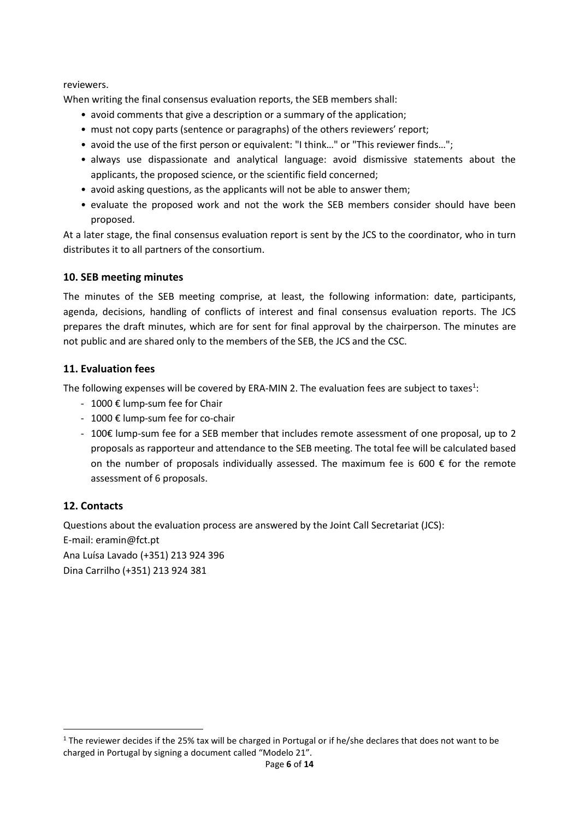reviewers.

When writing the final consensus evaluation reports, the SEB members shall:

- avoid comments that give a description or a summary of the application;
- must not copy parts (sentence or paragraphs) of the others reviewers' report;
- avoid the use of the first person or equivalent: "I think…" or "This reviewer finds…";
- always use dispassionate and analytical language: avoid dismissive statements about the applicants, the proposed science, or the scientific field concerned;
- avoid asking questions, as the applicants will not be able to answer them;
- evaluate the proposed work and not the work the SEB members consider should have been proposed.

At a later stage, the final consensus evaluation report is sent by the JCS to the coordinator, who in turn distributes it to all partners of the consortium.

#### <span id="page-6-0"></span>**10. SEB meeting minutes**

The minutes of the SEB meeting comprise, at least, the following information: date, participants, agenda, decisions, handling of conflicts of interest and final consensus evaluation reports. The JCS prepares the draft minutes, which are for sent for final approval by the chairperson. The minutes are not public and are shared only to the members of the SEB, the JCS and the CSC.

#### <span id="page-6-1"></span>**11. Evaluation fees**

The following expenses will be covered by ERA-MIN 2. The evaluation fees are subject to taxes<sup>1</sup>:

- 1000 € lump-sum fee for Chair
- 1000 € lump-sum fee for co-chair
- 100€ lump-sum fee for a SEB member that includes remote assessment of one proposal, up to 2 proposals as rapporteur and attendance to the SEB meeting. The total fee will be calculated based on the number of proposals individually assessed. The maximum fee is 600  $\epsilon$  for the remote assessment of 6 proposals.

#### <span id="page-6-2"></span>**12. Contacts**

Questions about the evaluation process are answered by the Joint Call Secretariat (JCS): E-mail: eramin@fct.pt Ana Luísa Lavado (+351) 213 924 396 Dina Carrilho (+351) 213 924 381

 $1$  The reviewer decides if the 25% tax will be charged in Portugal or if he/she declares that does not want to be charged in Portugal by signing a document called "Modelo 21".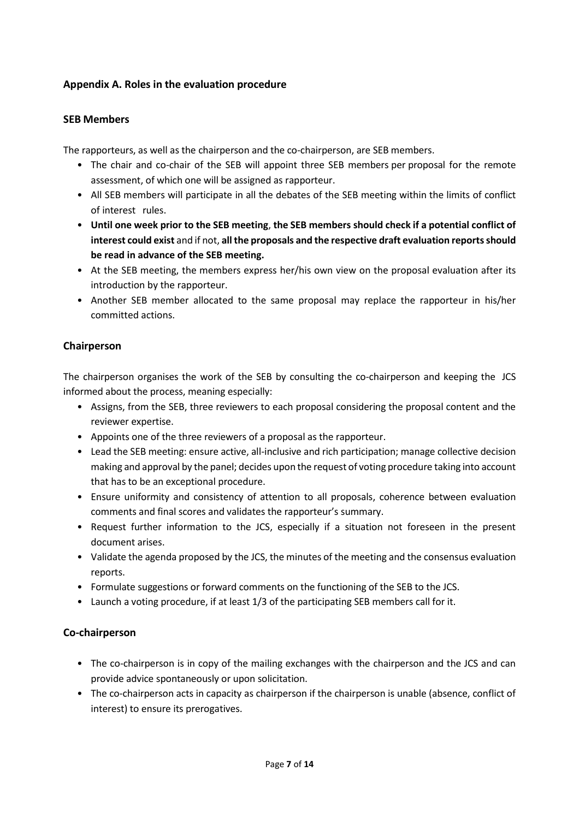#### <span id="page-7-0"></span>**Appendix A. Roles in the evaluation procedure**

#### **SEB Members**

The rapporteurs, as well as the chairperson and the co-chairperson, are SEB members.

- The chair and co-chair of the SEB will appoint three SEB members per proposal for the remote assessment, of which one will be assigned as rapporteur.
- All SEB members will participate in all the debates of the SEB meeting within the limits of conflict of interest rules.
- **Until one week prior to the SEB meeting**, **the SEB members should check if a potential conflict of interest could exist** and if not, **all the proposals and the respective draft evaluation reportsshould be read in advance of the SEB meeting.**
- At the SEB meeting, the members express her/his own view on the proposal evaluation after its introduction by the rapporteur.
- Another SEB member allocated to the same proposal may replace the rapporteur in his/her committed actions.

#### **Chairperson**

The chairperson organises the work of the SEB by consulting the co-chairperson and keeping the JCS informed about the process, meaning especially:

- Assigns, from the SEB, three reviewers to each proposal considering the proposal content and the reviewer expertise.
- Appoints one of the three reviewers of a proposal as the rapporteur.
- Lead the SEB meeting: ensure active, all-inclusive and rich participation; manage collective decision making and approval by the panel; decides upon the request of voting procedure taking into account that has to be an exceptional procedure.
- Ensure uniformity and consistency of attention to all proposals, coherence between evaluation comments and final scores and validates the rapporteur's summary.
- Request further information to the JCS, especially if a situation not foreseen in the present document arises.
- Validate the agenda proposed by the JCS, the minutes of the meeting and the consensus evaluation reports.
- Formulate suggestions or forward comments on the functioning of the SEB to the JCS.
- Launch a voting procedure, if at least 1/3 of the participating SEB members call for it.

#### **Co-chairperson**

- The co-chairperson is in copy of the mailing exchanges with the chairperson and the JCS and can provide advice spontaneously or upon solicitation.
- The co-chairperson acts in capacity as chairperson if the chairperson is unable (absence, conflict of interest) to ensure its prerogatives.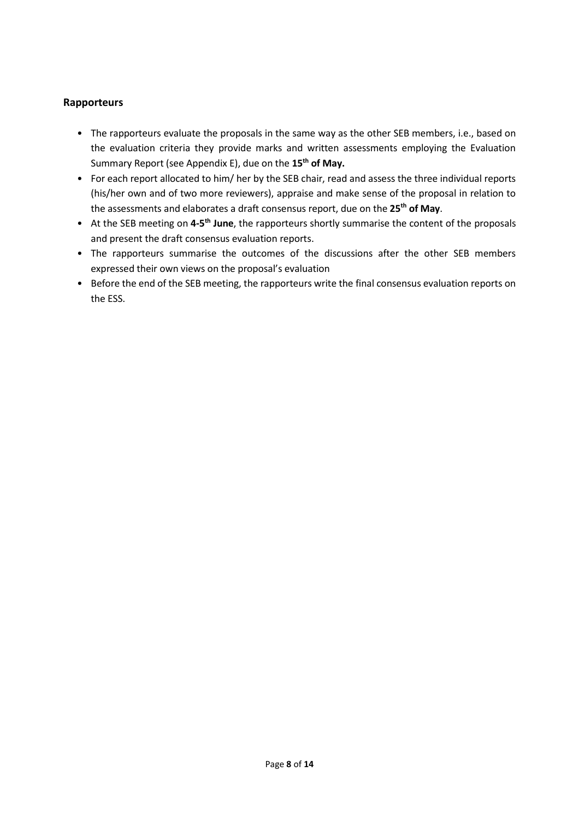#### **Rapporteurs**

- The rapporteurs evaluate the proposals in the same way as the other SEB members, i.e., based on the evaluation criteria they provide marks and written assessments employing the Evaluation Summary Report (see Appendix E), due on the **15th of May.**
- For each report allocated to him/ her by the SEB chair, read and assess the three individual reports (his/her own and of two more reviewers), appraise and make sense of the proposal in relation to the assessments and elaborates a draft consensus report, due on the **25 th of May**.
- **•** At the SEB meeting on 4-5<sup>th</sup> June, the rapporteurs shortly summarise the content of the proposals and present the draft consensus evaluation reports.
- The rapporteurs summarise the outcomes of the discussions after the other SEB members expressed their own views on the proposal's evaluation
- Before the end of the SEB meeting, the rapporteurs write the final consensus evaluation reports on the ESS.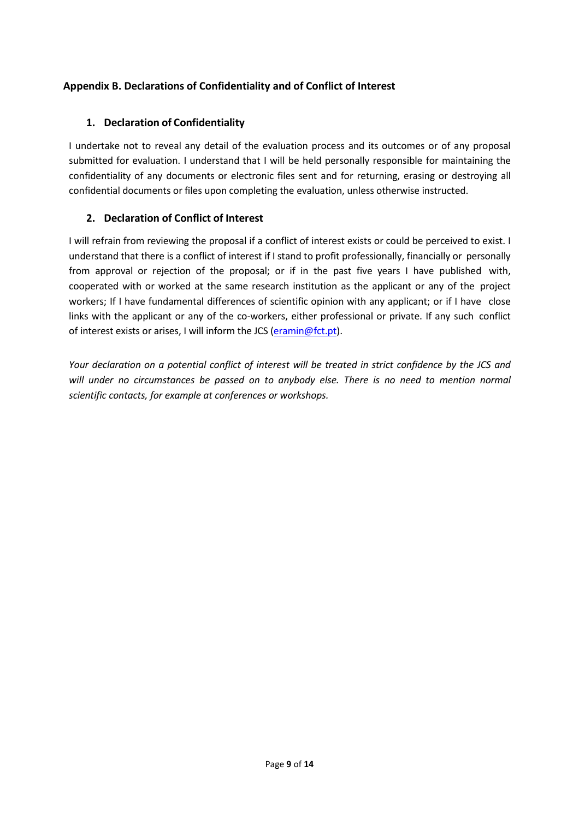#### <span id="page-9-0"></span>**Appendix B. Declarations of Confidentiality and of Conflict of Interest**

#### **1. Declaration of Confidentiality**

I undertake not to reveal any detail of the evaluation process and its outcomes or of any proposal submitted for evaluation. I understand that I will be held personally responsible for maintaining the confidentiality of any documents or electronic files sent and for returning, erasing or destroying all confidential documents or files upon completing the evaluation, unless otherwise instructed.

#### **2. Declaration of Conflict of Interest**

I will refrain from reviewing the proposal if a conflict of interest exists or could be perceived to exist. I understand that there is a conflict of interest if I stand to profit professionally, financially or personally from approval or rejection of the proposal; or if in the past five years I have published with, cooperated with or worked at the same research institution as the applicant or any of the project workers; If I have fundamental differences of scientific opinion with any applicant; or if I have close links with the applicant or any of the co-workers, either professional or private. If any such conflict of interest exists or arises, I will inform the JCS (eramin@fct.pt).

Your declaration on a potential conflict of interest will be treated in strict confidence by the JCS and *will under no circumstances be passed on to anybody else. There is no need to mention normal scientific contacts, for example at conferences or workshops.*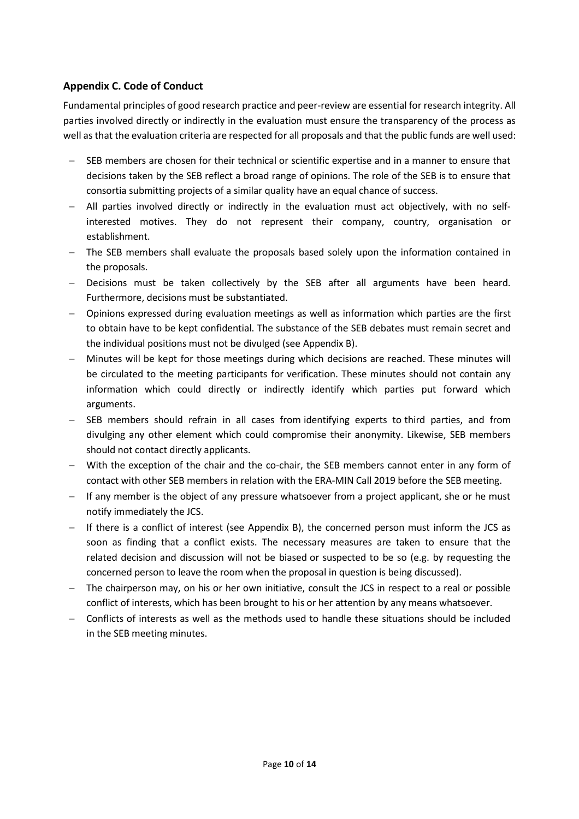#### <span id="page-10-0"></span>**Appendix C. Code of Conduct**

Fundamental principles of good research practice and peer-review are essential for research integrity. All parties involved directly or indirectly in the evaluation must ensure the transparency of the process as well as that the evaluation criteria are respected for all proposals and that the public funds are well used:

- SEB members are chosen for their technical or scientific expertise and in a manner to ensure that decisions taken by the SEB reflect a broad range of opinions. The role of the SEB is to ensure that consortia submitting projects of a similar quality have an equal chance of success.
- − All parties involved directly or indirectly in the evaluation must act objectively, with no selfinterested motives. They do not represent their company, country, organisation or establishment.
- − The SEB members shall evaluate the proposals based solely upon the information contained in the proposals.
- − Decisions must be taken collectively by the SEB after all arguments have been heard. Furthermore, decisions must be substantiated.
- − Opinions expressed during evaluation meetings as well as information which parties are the first to obtain have to be kept confidential. The substance of the SEB debates must remain secret and the individual positions must not be divulged (see Appendix B).
- − Minutes will be kept for those meetings during which decisions are reached. These minutes will be circulated to the meeting participants for verification. These minutes should not contain any information which could directly or indirectly identify which parties put forward which arguments.
- − SEB members should refrain in all cases from identifying experts to third parties, and from divulging any other element which could compromise their anonymity. Likewise, SEB members should not contact directly applicants.
- − With the exception of the chair and the co-chair, the SEB members cannot enter in any form of contact with other SEB members in relation with the ERA-MIN Call 2019 before the SEB meeting.
- − If any member is the object of any pressure whatsoever from a project applicant, she or he must notify immediately the JCS.
- − If there is a conflict of interest (see Appendix B), the concerned person must inform the JCS as soon as finding that a conflict exists. The necessary measures are taken to ensure that the related decision and discussion will not be biased or suspected to be so (e.g. by requesting the concerned person to leave the room when the proposal in question is being discussed).
- − The chairperson may, on his or her own initiative, consult the JCS in respect to a real or possible conflict of interests, which has been brought to his or her attention by any means whatsoever.
- − Conflicts of interests as well as the methods used to handle these situations should be included in the SEB meeting minutes.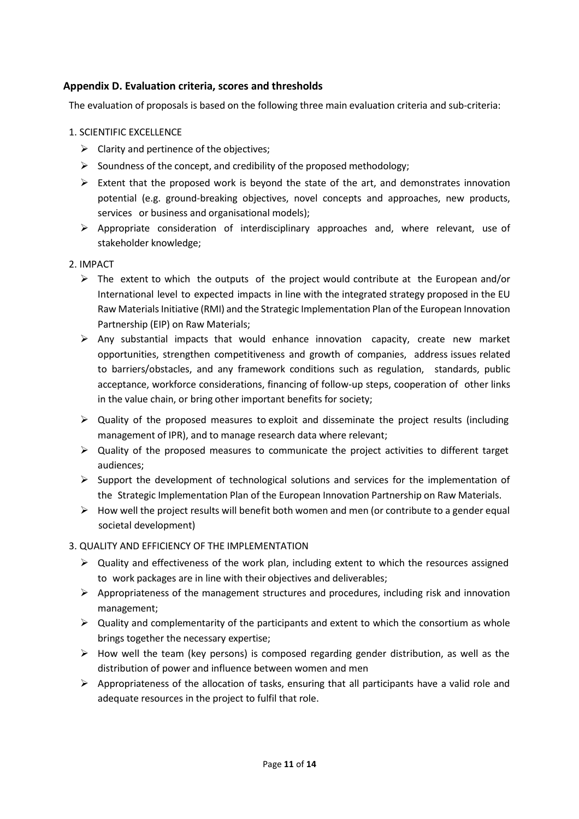#### <span id="page-11-0"></span>**Appendix D. Evaluation criteria, scores and thresholds**

The evaluation of proposals is based on the following three main evaluation criteria and sub-criteria:

- 1. SCIENTIFIC EXCELLENCE
	- $\triangleright$  Clarity and pertinence of the objectives;
	- $\triangleright$  Soundness of the concept, and credibility of the proposed methodology;
	- $\triangleright$  Extent that the proposed work is beyond the state of the art, and demonstrates innovation potential (e.g. ground-breaking objectives, novel concepts and approaches, new products, services or business and organisational models);
	- ➢ Appropriate consideration of interdisciplinary approaches and, where relevant, use of stakeholder knowledge;

#### 2. IMPACT

- $\triangleright$  The extent to which the outputs of the project would contribute at the European and/or International level to expected impacts in line with the integrated strategy proposed in the EU Raw Materials Initiative (RMI) and the Strategic Implementation Plan of the European Innovation Partnership (EIP) on Raw Materials;
- $\triangleright$  Any substantial impacts that would enhance innovation capacity, create new market opportunities, strengthen competitiveness and growth of companies, address issues related to barriers/obstacles, and any framework conditions such as regulation, standards, public acceptance, workforce considerations, financing of follow-up steps, cooperation of other links in the value chain, or bring other important benefits for society;
- $\triangleright$  Quality of the proposed measures to exploit and disseminate the project results (including management of IPR), and to manage research data where relevant;
- $\triangleright$  Quality of the proposed measures to communicate the project activities to different target audiences;
- $\triangleright$  Support the development of technological solutions and services for the implementation of the Strategic Implementation Plan of the European Innovation Partnership on Raw Materials.
- $\triangleright$  How well the project results will benefit both women and men (or contribute to a gender equal societal development)
- 3. QUALITY AND EFFICIENCY OF THE IMPLEMENTATION
	- $\triangleright$  Quality and effectiveness of the work plan, including extent to which the resources assigned to work packages are in line with their objectives and deliverables;
	- $\triangleright$  Appropriateness of the management structures and procedures, including risk and innovation management;
	- $\triangleright$  Quality and complementarity of the participants and extent to which the consortium as whole brings together the necessary expertise;
	- $\triangleright$  How well the team (key persons) is composed regarding gender distribution, as well as the distribution of power and influence between women and men
	- $\triangleright$  Appropriateness of the allocation of tasks, ensuring that all participants have a valid role and adequate resources in the project to fulfil that role.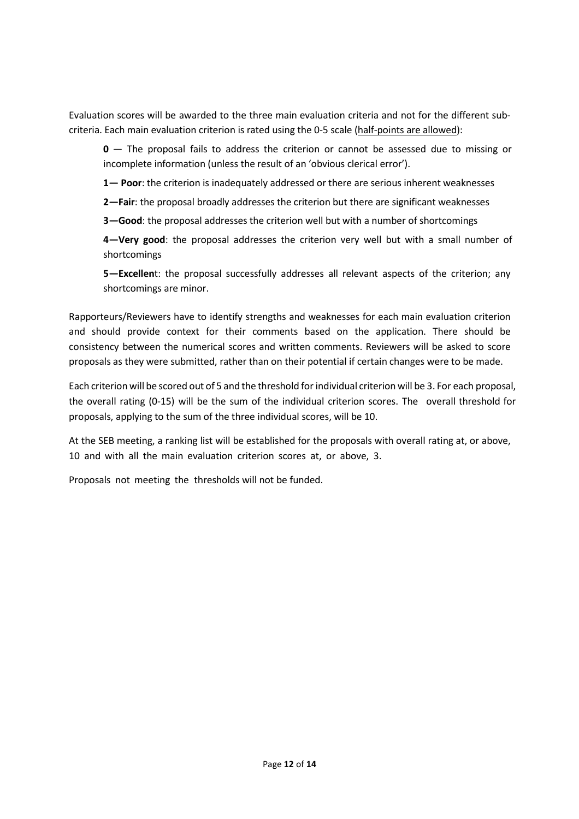Evaluation scores will be awarded to the three main evaluation criteria and not for the different subcriteria. Each main evaluation criterion is rated using the 0-5 scale (half-points are allowed):

**0** — The proposal fails to address the criterion or cannot be assessed due to missing or incomplete information (unless the result of an 'obvious clerical error').

**1— Poor**: the criterion is inadequately addressed or there are serious inherent weaknesses

**2—Fair**: the proposal broadly addresses the criterion but there are significant weaknesses

**3—Good**: the proposal addresses the criterion well but with a number of shortcomings

**4—Very good**: the proposal addresses the criterion very well but with a small number of shortcomings

**5—Excellen**t: the proposal successfully addresses all relevant aspects of the criterion; any shortcomings are minor.

Rapporteurs/Reviewers have to identify strengths and weaknesses for each main evaluation criterion and should provide context for their comments based on the application. There should be consistency between the numerical scores and written comments. Reviewers will be asked to score proposals as they were submitted, rather than on their potential if certain changes were to be made.

Each criterion will be scored out of 5 and the threshold for individual criterion will be 3. For each proposal, the overall rating (0-15) will be the sum of the individual criterion scores. The overall threshold for proposals, applying to the sum of the three individual scores, will be 10.

At the SEB meeting, a ranking list will be established for the proposals with overall rating at, or above, 10 and with all the main evaluation criterion scores at, or above, 3.

Proposals not meeting the thresholds will not be funded.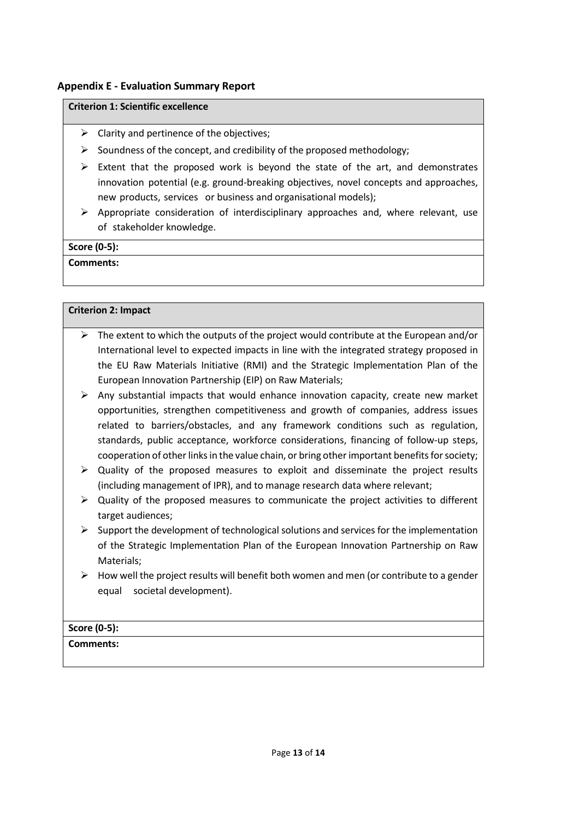#### <span id="page-13-0"></span>**Appendix E - Evaluation Summary Report**

#### **Criterion 1: Scientific excellence**

- $\triangleright$  Clarity and pertinence of the objectives;
- $\triangleright$  Soundness of the concept, and credibility of the proposed methodology;
- $\triangleright$  Extent that the proposed work is beyond the state of the art, and demonstrates innovation potential (e.g. ground-breaking objectives, novel concepts and approaches, new products, services or business and organisational models);
- $\triangleright$  Appropriate consideration of interdisciplinary approaches and, where relevant, use of stakeholder knowledge.

#### **Score (0-5):**

#### **Comments:**

#### **Criterion 2: Impact**

- $\triangleright$  The extent to which the outputs of the project would contribute at the European and/or International level to expected impacts in line with the integrated strategy proposed in the EU Raw Materials Initiative (RMI) and the Strategic Implementation Plan of the European Innovation Partnership (EIP) on Raw Materials;
- $\triangleright$  Any substantial impacts that would enhance innovation capacity, create new market opportunities, strengthen competitiveness and growth of companies, address issues related to barriers/obstacles, and any framework conditions such as regulation, standards, public acceptance, workforce considerations, financing of follow-up steps, cooperation of other links in the value chain, or bring other important benefits for society;
- $\triangleright$  Quality of the proposed measures to exploit and disseminate the project results (including management of IPR), and to manage research data where relevant;
- $\triangleright$  Quality of the proposed measures to communicate the project activities to different target audiences;
- $\triangleright$  Support the development of technological solutions and services for the implementation of the Strategic Implementation Plan of the European Innovation Partnership on Raw Materials;
- $\triangleright$  How well the project results will benefit both women and men (or contribute to a gender equal societal development).

#### **Score (0-5):**

**Comments:**